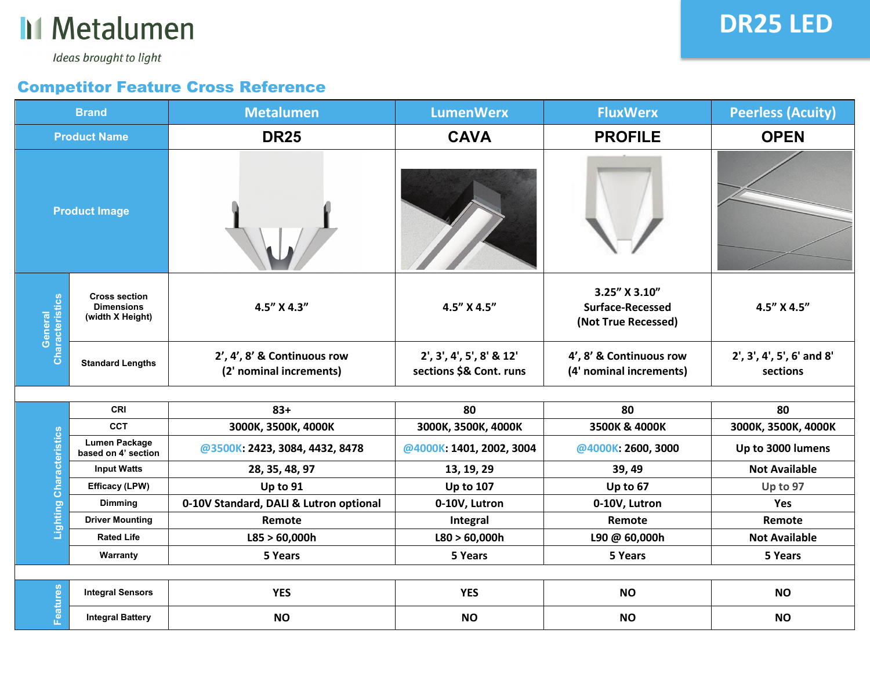

## **DR25 LED**

Ideas brought to light

## Competitor Feature Cross Reference

| <b>Brand</b>               |                                                               | <b>Metalumen</b>                                       | <b>LumenWerx</b>                                    | <b>FluxWerx</b>                                          | <b>Peerless (Acuity)</b>              |
|----------------------------|---------------------------------------------------------------|--------------------------------------------------------|-----------------------------------------------------|----------------------------------------------------------|---------------------------------------|
| <b>Product Name</b>        |                                                               | <b>DR25</b>                                            | <b>CAVA</b>                                         | <b>PROFILE</b>                                           | <b>OPEN</b>                           |
|                            | <b>Product Image</b>                                          |                                                        |                                                     |                                                          |                                       |
| Characteristics<br>General | <b>Cross section</b><br><b>Dimensions</b><br>(width X Height) | 4.5" X 4.3"                                            | 4.5" X 4.5"                                         | 3.25" X 3.10"<br>Surface-Recessed<br>(Not True Recessed) | 4.5" X 4.5"                           |
|                            | <b>Standard Lengths</b>                                       | 2', 4', 8' & Continuous row<br>(2' nominal increments) | 2', 3', 4', 5', 8' & 12'<br>sections \$& Cont. runs | 4', 8' & Continuous row<br>(4' nominal increments)       | 2', 3', 4', 5', 6' and 8'<br>sections |
|                            |                                                               |                                                        |                                                     |                                                          |                                       |
|                            | <b>CRI</b>                                                    | $83+$                                                  | 80                                                  | 80                                                       | 80                                    |
|                            | <b>CCT</b>                                                    | 3000K, 3500K, 4000K                                    | 3000K, 3500K, 4000K                                 | 3500K & 4000K                                            | 3000K, 3500K, 4000K                   |
| <b>Characteristics</b>     | <b>Lumen Package</b><br>based on 4' section                   | @3500K: 2423, 3084, 4432, 8478                         | @4000K: 1401, 2002, 3004                            | @4000K: 2600, 3000                                       | Up to 3000 lumens                     |
|                            | <b>Input Watts</b>                                            | 28, 35, 48, 97                                         | 13, 19, 29                                          | 39, 49                                                   | <b>Not Available</b>                  |
|                            | Efficacy (LPW)                                                | Up to 91                                               | <b>Up to 107</b>                                    | Up to 67                                                 | Up to 97                              |
|                            | <b>Dimming</b>                                                | 0-10V Standard, DALI & Lutron optional                 | 0-10V, Lutron                                       | 0-10V, Lutron                                            | Yes                                   |
| Lighting                   | <b>Driver Mounting</b>                                        | Remote                                                 | Integral                                            | Remote                                                   | Remote                                |
|                            | <b>Rated Life</b>                                             | L85 > 60,000h                                          | L80 > 60,000h                                       | L90 @ 60,000h                                            | <b>Not Available</b>                  |

| Warranty                | 5 Years    | 5 Years    | 5 Years   | 5 Years   |
|-------------------------|------------|------------|-----------|-----------|
|                         |            |            |           |           |
| <b>Integral Sensors</b> | <b>YES</b> | <b>YES</b> | <b>NO</b> | <b>NO</b> |
| <b>Integral Battery</b> | <b>NO</b>  | <b>NO</b>  | <b>NO</b> | <b>NO</b> |